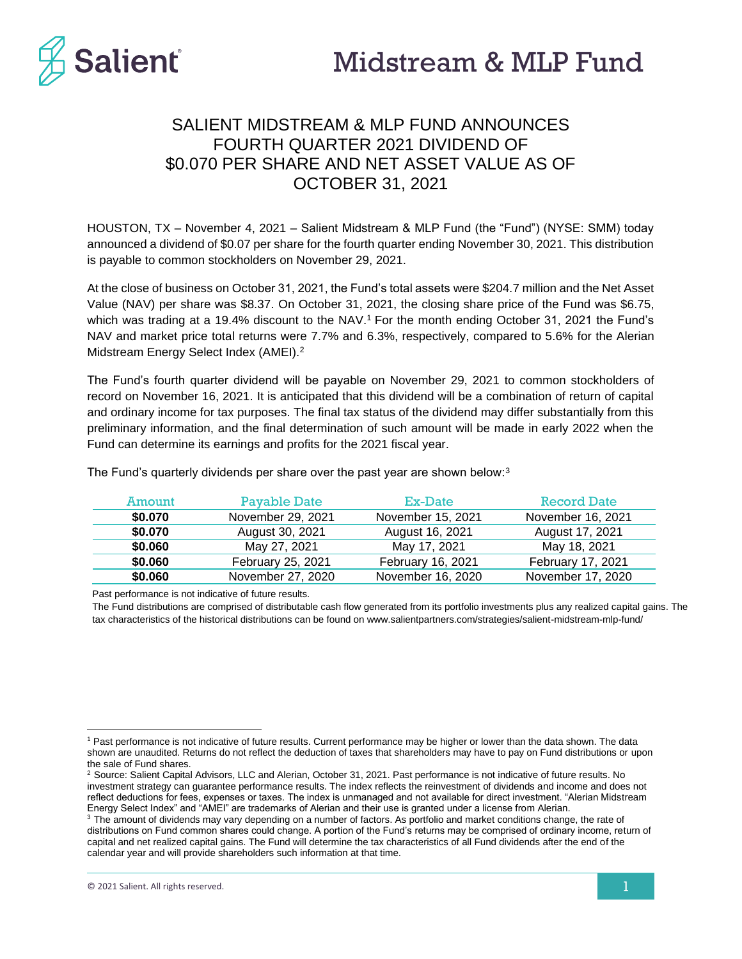

# SALIENT MIDSTREAM & MLP FUND ANNOUNCES FOURTH QUARTER 2021 DIVIDEND OF \$0.070 PER SHARE AND NET ASSET VALUE AS OF OCTOBER 31, 2021

HOUSTON, TX – November 4, 2021 – Salient Midstream & MLP Fund (the "Fund") (NYSE: SMM) today announced a dividend of \$0.07 per share for the fourth quarter ending November 30, 2021. This distribution is payable to common stockholders on November 29, 2021.

At the close of business on October 31, 2021, the Fund's total assets were \$204.7 million and the Net Asset Value (NAV) per share was \$8.37. On October 31, 2021, the closing share price of the Fund was \$6.75, which was trading at a 19.4% discount to the NAV.<sup>1</sup> For the month ending October 31, 2021 the Fund's NAV and market price total returns were 7.7% and 6.3%, respectively, compared to 5.6% for the Alerian Midstream Energy Select Index (AMEI).<sup>2</sup>

The Fund's fourth quarter dividend will be payable on November 29, 2021 to common stockholders of record on November 16, 2021. It is anticipated that this dividend will be a combination of return of capital and ordinary income for tax purposes. The final tax status of the dividend may differ substantially from this preliminary information, and the final determination of such amount will be made in early 2022 when the Fund can determine its earnings and profits for the 2021 fiscal year.

| Amount  | Payable Date      | Ex-Date           | <b>Record Date</b> |
|---------|-------------------|-------------------|--------------------|
| \$0.070 | November 29, 2021 | November 15, 2021 | November 16, 2021  |
| \$0.070 | August 30, 2021   | August 16, 2021   | August 17, 2021    |
| \$0.060 | May 27, 2021      | May 17, 2021      | May 18, 2021       |
| \$0.060 | February 25, 2021 | February 16, 2021 | February 17, 2021  |
| \$0.060 | November 27, 2020 | November 16, 2020 | November 17, 2020  |

The Fund's quarterly dividends per share over the past year are shown below:<sup>3</sup>

Past performance is not indicative of future results.

The Fund distributions are comprised of distributable cash flow generated from its portfolio investments plus any realized capital gains. The tax characteristics of the historical distributions can be found on www.salientpartners.com/strategies/salient-midstream-mlp-fund/

<sup>&</sup>lt;sup>1</sup> Past performance is not indicative of future results. Current performance may be higher or lower than the data shown. The data shown are unaudited. Returns do not reflect the deduction of taxes that shareholders may have to pay on Fund distributions or upon the sale of Fund shares.

<sup>&</sup>lt;sup>2</sup> Source: Salient Capital Advisors, LLC and Alerian, October 31, 2021. Past performance is not indicative of future results. No investment strategy can guarantee performance results. The index reflects the reinvestment of dividends and income and does not reflect deductions for fees, expenses or taxes. The index is unmanaged and not available for direct investment. "Alerian Midstream Energy Select Index" and "AMEI" are trademarks of Alerian and their use is granted under a license from Alerian.

<sup>&</sup>lt;sup>3</sup> The amount of dividends may vary depending on a number of factors. As portfolio and market conditions change, the rate of distributions on Fund common shares could change. A portion of the Fund's returns may be comprised of ordinary income, return of capital and net realized capital gains. The Fund will determine the tax characteristics of all Fund dividends after the end of the calendar year and will provide shareholders such information at that time.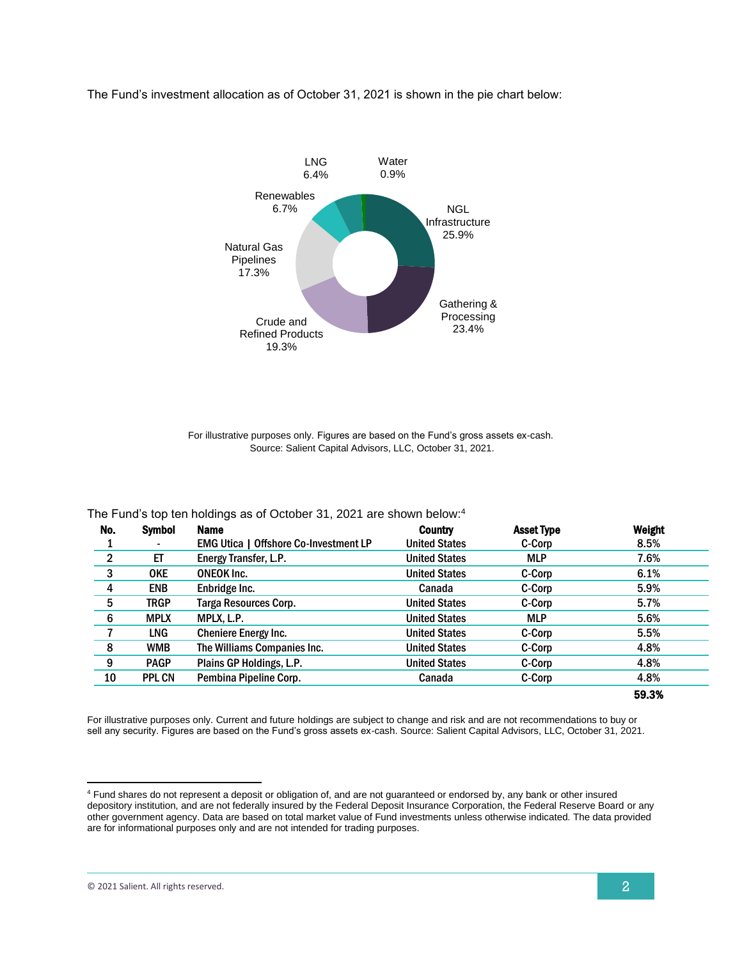### The Fund's investment allocation as of October 31, 2021 is shown in the pie chart below:



For illustrative purposes only. Figures are based on the Fund's gross assets ex-cash. Source: Salient Capital Advisors, LLC, October 31, 2021.

|  | The Fund's top ten holdings as of October 31, 2021 are shown below: <sup>4</sup> |  |
|--|----------------------------------------------------------------------------------|--|
|  |                                                                                  |  |
|  |                                                                                  |  |

| No.                     | <b>Symbol</b> | <b>Name</b>                                  | <b>Country</b>       | <b>Asset Type</b> | Weight |
|-------------------------|---------------|----------------------------------------------|----------------------|-------------------|--------|
|                         |               | <b>EMG Utica   Offshore Co-Investment LP</b> | <b>United States</b> | C-Corp            | 8.5%   |
| $\overline{2}$          | ET            | Energy Transfer, L.P.                        | <b>United States</b> | <b>MLP</b>        | 7.6%   |
| $\overline{\mathbf{3}}$ | <b>OKE</b>    | <b>ONEOK Inc.</b>                            | <b>United States</b> | C-Corp            | 6.1%   |
| 4                       | <b>ENB</b>    | Enbridge Inc.                                | Canada               | C-Corp            | 5.9%   |
| 5                       | TRGP          | Targa Resources Corp.                        | <b>United States</b> | C-Corp            | 5.7%   |
| 6                       | <b>MPLX</b>   | MPLX, L.P.                                   | <b>United States</b> | <b>MLP</b>        | 5.6%   |
|                         | <b>LNG</b>    | <b>Cheniere Energy Inc.</b>                  | <b>United States</b> | C-Corp            | 5.5%   |
| 8                       | <b>WMB</b>    | The Williams Companies Inc.                  | <b>United States</b> | C-Corp            | 4.8%   |
| 9                       | <b>PAGP</b>   | Plains GP Holdings, L.P.                     | <b>United States</b> | C-Corp            | 4.8%   |
| 10                      | <b>PPL CN</b> | Pembina Pipeline Corp.                       | Canada               | C-Corp            | 4.8%   |
|                         |               |                                              |                      |                   | 59.3%  |

For illustrative purposes only. Current and future holdings are subject to change and risk and are not recommendations to buy or sell any security. Figures are based on the Fund's gross assets ex-cash. Source: Salient Capital Advisors, LLC, October 31, 2021.

<sup>4</sup> Fund shares do not represent a deposit or obligation of, and are not guaranteed or endorsed by, any bank or other insured depository institution, and are not federally insured by the Federal Deposit Insurance Corporation, the Federal Reserve Board or any other government agency. Data are based on total market value of Fund investments unless otherwise indicated. The data provided are for informational purposes only and are not intended for trading purposes.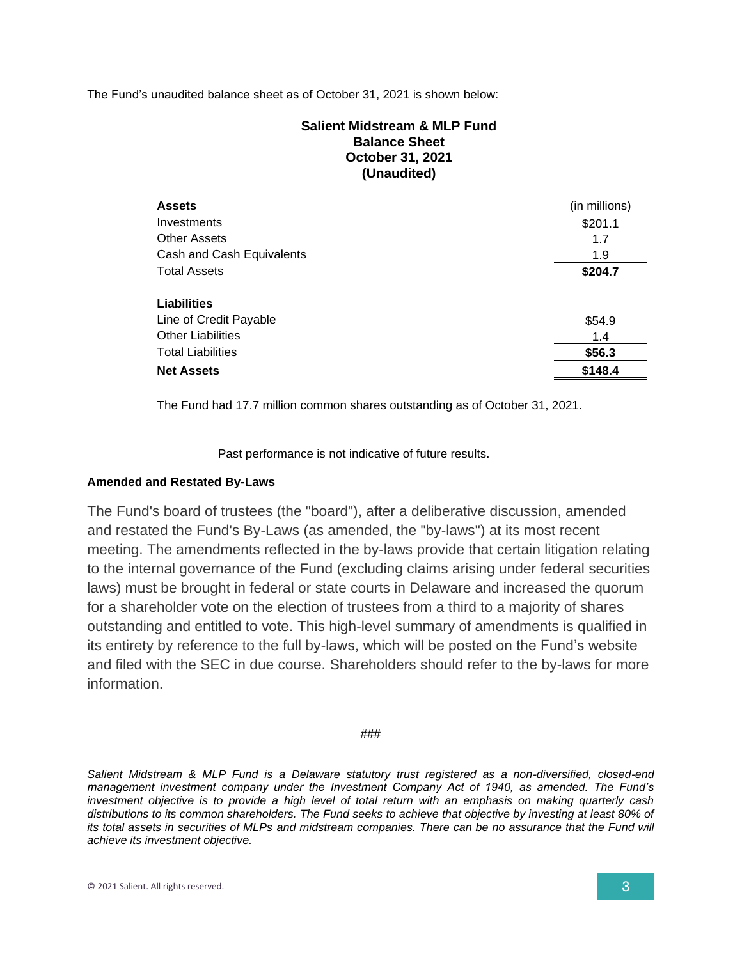## The Fund's unaudited balance sheet as of October 31, 2021 is shown below:

# **Salient Midstream & MLP Fund Balance Sheet October 31, 2021 (Unaudited)**

| <b>Assets</b>             | (in millions) |
|---------------------------|---------------|
| Investments               | \$201.1       |
| <b>Other Assets</b>       | 1.7           |
| Cash and Cash Equivalents | 1.9           |
| <b>Total Assets</b>       | \$204.7       |
|                           |               |
| Liabilities               |               |
| Line of Credit Payable    | \$54.9        |
| <b>Other Liabilities</b>  | 1.4           |
| <b>Total Liabilities</b>  | \$56.3        |
| <b>Net Assets</b>         | \$148.4       |

The Fund had 17.7 million common shares outstanding as of October 31, 2021.

Past performance is not indicative of future results.

## **Amended and Restated By-Laws**

The Fund's board of trustees (the "board"), after a deliberative discussion, amended and restated the Fund's By-Laws (as amended, the "by-laws") at its most recent meeting. The amendments reflected in the by-laws provide that certain litigation relating to the internal governance of the Fund (excluding claims arising under federal securities laws) must be brought in federal or state courts in Delaware and increased the quorum for a shareholder vote on the election of trustees from a third to a majority of shares outstanding and entitled to vote. This high-level summary of amendments is qualified in its entirety by reference to the full by-laws, which will be posted on the Fund's website and filed with the SEC in due course. Shareholders should refer to the by-laws for more information.

###

*Salient Midstream & MLP Fund is a Delaware statutory trust registered as a non-diversified, closed-end management investment company under the Investment Company Act of 1940, as amended. The Fund's investment objective is to provide a high level of total return with an emphasis on making quarterly cash distributions to its common shareholders. The Fund seeks to achieve that objective by investing at least 80% of its total assets in securities of MLPs and midstream companies. There can be no assurance that the Fund will achieve its investment objective.*